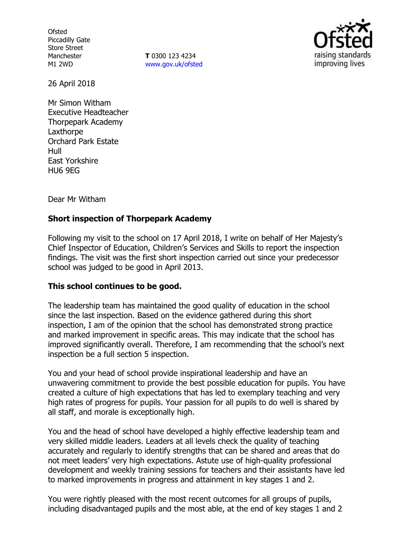**Ofsted** Piccadilly Gate Store Street Manchester M1 2WD

**T** 0300 123 4234 www.gov.uk/ofsted



26 April 2018

Mr Simon Witham Executive Headteacher Thorpepark Academy **Laxthorpe** Orchard Park Estate Hull East Yorkshire HU6 9EG

Dear Mr Witham

## **Short inspection of Thorpepark Academy**

Following my visit to the school on 17 April 2018, I write on behalf of Her Majesty's Chief Inspector of Education, Children's Services and Skills to report the inspection findings. The visit was the first short inspection carried out since your predecessor school was judged to be good in April 2013.

### **This school continues to be good.**

The leadership team has maintained the good quality of education in the school since the last inspection. Based on the evidence gathered during this short inspection, I am of the opinion that the school has demonstrated strong practice and marked improvement in specific areas. This may indicate that the school has improved significantly overall. Therefore, I am recommending that the school's next inspection be a full section 5 inspection.

You and your head of school provide inspirational leadership and have an unwavering commitment to provide the best possible education for pupils. You have created a culture of high expectations that has led to exemplary teaching and very high rates of progress for pupils. Your passion for all pupils to do well is shared by all staff, and morale is exceptionally high.

You and the head of school have developed a highly effective leadership team and very skilled middle leaders. Leaders at all levels check the quality of teaching accurately and regularly to identify strengths that can be shared and areas that do not meet leaders' very high expectations. Astute use of high-quality professional development and weekly training sessions for teachers and their assistants have led to marked improvements in progress and attainment in key stages 1 and 2.

You were rightly pleased with the most recent outcomes for all groups of pupils, including disadvantaged pupils and the most able, at the end of key stages 1 and 2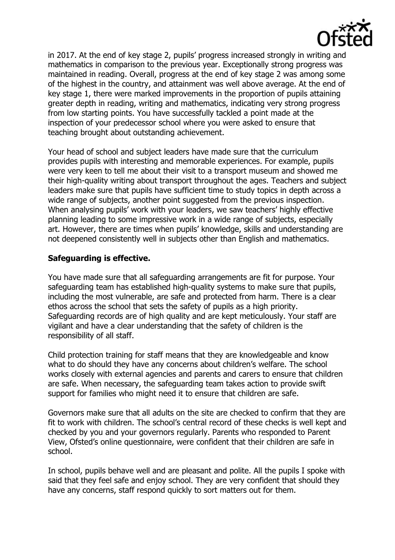

in 2017. At the end of key stage 2, pupils' progress increased strongly in writing and mathematics in comparison to the previous year. Exceptionally strong progress was maintained in reading. Overall, progress at the end of key stage 2 was among some of the highest in the country, and attainment was well above average. At the end of key stage 1, there were marked improvements in the proportion of pupils attaining greater depth in reading, writing and mathematics, indicating very strong progress from low starting points. You have successfully tackled a point made at the inspection of your predecessor school where you were asked to ensure that teaching brought about outstanding achievement.

Your head of school and subject leaders have made sure that the curriculum provides pupils with interesting and memorable experiences. For example, pupils were very keen to tell me about their visit to a transport museum and showed me their high-quality writing about transport throughout the ages. Teachers and subject leaders make sure that pupils have sufficient time to study topics in depth across a wide range of subjects, another point suggested from the previous inspection. When analysing pupils' work with your leaders, we saw teachers' highly effective planning leading to some impressive work in a wide range of subjects, especially art. However, there are times when pupils' knowledge, skills and understanding are not deepened consistently well in subjects other than English and mathematics.

# **Safeguarding is effective.**

You have made sure that all safeguarding arrangements are fit for purpose. Your safeguarding team has established high-quality systems to make sure that pupils, including the most vulnerable, are safe and protected from harm. There is a clear ethos across the school that sets the safety of pupils as a high priority. Safeguarding records are of high quality and are kept meticulously. Your staff are vigilant and have a clear understanding that the safety of children is the responsibility of all staff.

Child protection training for staff means that they are knowledgeable and know what to do should they have any concerns about children's welfare. The school works closely with external agencies and parents and carers to ensure that children are safe. When necessary, the safeguarding team takes action to provide swift support for families who might need it to ensure that children are safe.

Governors make sure that all adults on the site are checked to confirm that they are fit to work with children. The school's central record of these checks is well kept and checked by you and your governors regularly. Parents who responded to Parent View, Ofsted's online questionnaire, were confident that their children are safe in school.

In school, pupils behave well and are pleasant and polite. All the pupils I spoke with said that they feel safe and enjoy school. They are very confident that should they have any concerns, staff respond quickly to sort matters out for them.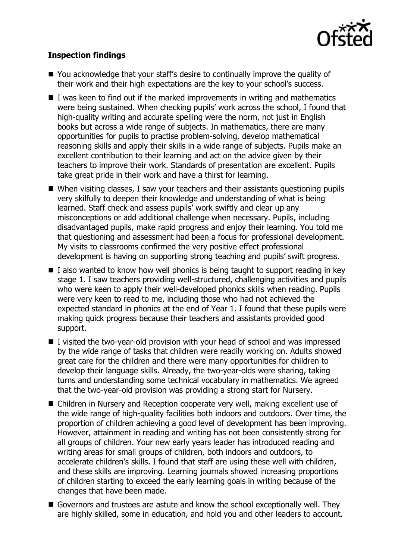

# **Inspection findings**

- You acknowledge that your staff's desire to continually improve the quality of their work and their high expectations are the key to your school's success.
- $\blacksquare$  I was keen to find out if the marked improvements in writing and mathematics were being sustained. When checking pupils' work across the school, I found that high-quality writing and accurate spelling were the norm, not just in English books but across a wide range of subjects. In mathematics, there are many opportunities for pupils to practise problem-solving, develop mathematical reasoning skills and apply their skills in a wide range of subjects. Pupils make an excellent contribution to their learning and act on the advice given by their teachers to improve their work. Standards of presentation are excellent. Pupils take great pride in their work and have a thirst for learning.
- When visiting classes, I saw your teachers and their assistants questioning pupils very skilfully to deepen their knowledge and understanding of what is being learned. Staff check and assess pupils' work swiftly and clear up any misconceptions or add additional challenge when necessary. Pupils, including disadvantaged pupils, make rapid progress and enjoy their learning. You told me that questioning and assessment had been a focus for professional development. My visits to classrooms confirmed the very positive effect professional development is having on supporting strong teaching and pupils' swift progress.
- $\blacksquare$  I also wanted to know how well phonics is being taught to support reading in key stage 1. I saw teachers providing well-structured, challenging activities and pupils who were keen to apply their well-developed phonics skills when reading. Pupils were very keen to read to me, including those who had not achieved the expected standard in phonics at the end of Year 1. I found that these pupils were making quick progress because their teachers and assistants provided good support.
- $\blacksquare$  I visited the two-year-old provision with your head of school and was impressed by the wide range of tasks that children were readily working on. Adults showed great care for the children and there were many opportunities for children to develop their language skills. Already, the two-year-olds were sharing, taking turns and understanding some technical vocabulary in mathematics. We agreed that the two-year-old provision was providing a strong start for Nursery.
- Children in Nursery and Reception cooperate very well, making excellent use of the wide range of high-quality facilities both indoors and outdoors. Over time, the proportion of children achieving a good level of development has been improving. However, attainment in reading and writing has not been consistently strong for all groups of children. Your new early years leader has introduced reading and writing areas for small groups of children, both indoors and outdoors, to accelerate children's skills. I found that staff are using these well with children, and these skills are improving. Learning journals showed increasing proportions of children starting to exceed the early learning goals in writing because of the changes that have been made.
- Governors and trustees are astute and know the school exceptionally well. They are highly skilled, some in education, and hold you and other leaders to account.